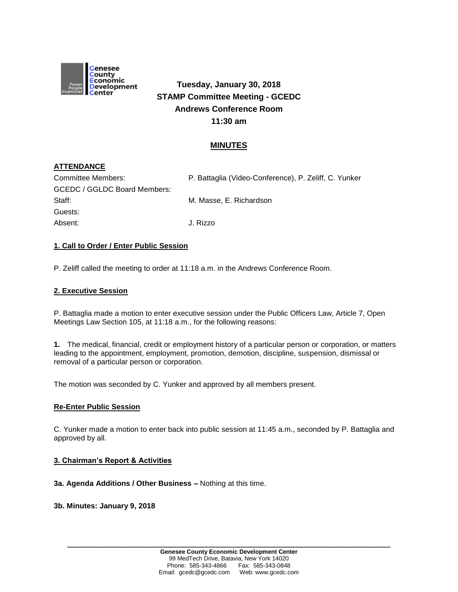

# **Tuesday, January 30, 2018 STAMP Committee Meeting - GCEDC Andrews Conference Room 11:30 am**

# **MINUTES**

# **ATTENDANCE**

| Committee Members:           | P. Battaglia (Video-Conference), P. Zeliff, C. Yunker |
|------------------------------|-------------------------------------------------------|
| GCEDC / GGLDC Board Members: |                                                       |
| Staff:                       | M. Masse, E. Richardson                               |
| Guests:                      |                                                       |
| Absent:                      | J. Rizzo                                              |

#### **1. Call to Order / Enter Public Session**

P. Zeliff called the meeting to order at 11:18 a.m. in the Andrews Conference Room.

#### **2. Executive Session**

P. Battaglia made a motion to enter executive session under the Public Officers Law, Article 7, Open Meetings Law Section 105, at 11:18 a.m., for the following reasons:

**1.** The medical, financial, credit or employment history of a particular person or corporation, or matters leading to the appointment, employment, promotion, demotion, discipline, suspension, dismissal or removal of a particular person or corporation.

The motion was seconded by C. Yunker and approved by all members present.

#### **Re-Enter Public Session**

C. Yunker made a motion to enter back into public session at 11:45 a.m., seconded by P. Battaglia and approved by all.

#### **3. Chairman's Report & Activities**

#### **3a. Agenda Additions / Other Business –** Nothing at this time.

#### **3b. Minutes: January 9, 2018**

**\_\_\_\_\_\_\_\_\_\_\_\_\_\_\_\_\_\_\_\_\_\_\_\_\_\_\_\_\_\_\_\_\_\_\_\_\_\_\_\_\_\_\_\_\_\_\_\_\_\_\_\_\_\_\_\_\_\_\_\_\_\_\_\_\_\_\_\_\_\_\_\_**